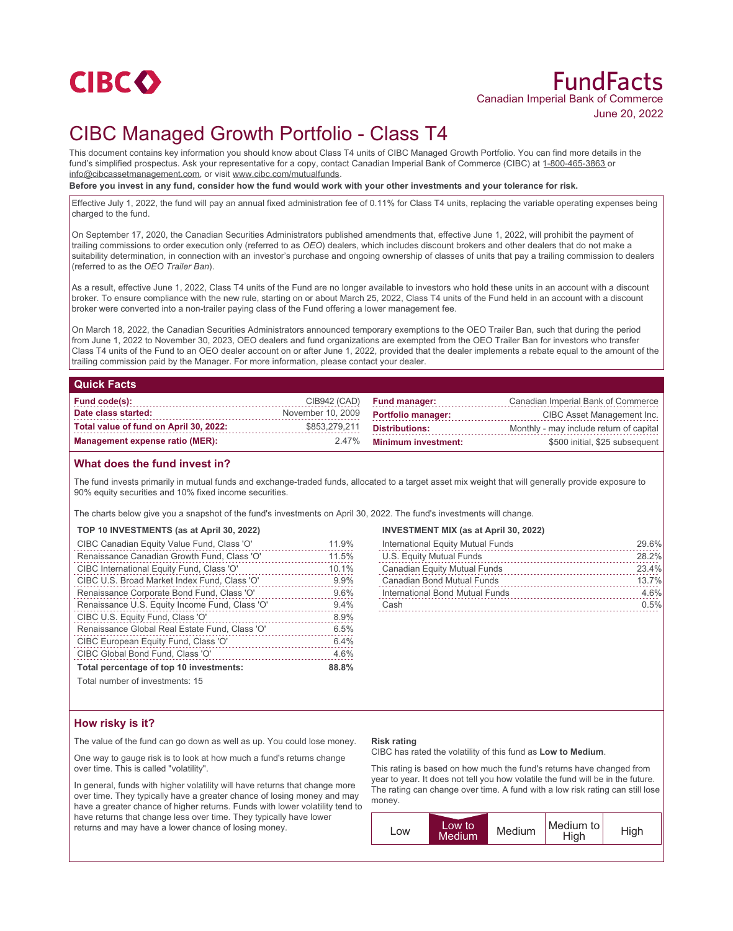

# FundFacts Canadian Imperial Bank of Commerce June 20, 2022

# CIBC Managed Growth Portfolio - Class T4

This document contains key information you should know about Class T4 units of CIBC Managed Growth Portfolio. You can find more details in the fund's simplified prospectus. Ask your representative for a copy, contact Canadian Imperial Bank of Commerce (CIBC) at 1-800-465-3863 or info@cibcassetmanagement.com, or visit www.cibc.com/mutualfunds.

**Before you invest in any fund, consider how the fund would work with your other investments and your tolerance for risk.**

Effective July 1, 2022, the fund will pay an annual fixed administration fee of 0.11% for Class T4 units, replacing the variable operating expenses being charged to the fund.

On September 17, 2020, the Canadian Securities Administrators published amendments that, effective June 1, 2022, will prohibit the payment of trailing commissions to order execution only (referred to as *OEO*) dealers, which includes discount brokers and other dealers that do not make a suitability determination, in connection with an investor's purchase and ongoing ownership of classes of units that pay a trailing commission to dealers (referred to as the *OEO Trailer Ban*).

As a result, effective June 1, 2022, Class T4 units of the Fund are no longer available to investors who hold these units in an account with a discount broker. To ensure compliance with the new rule, starting on or about March 25, 2022, Class T4 units of the Fund held in an account with a discount broker were converted into a non-trailer paying class of the Fund offering a lower management fee.

On March 18, 2022, the Canadian Securities Administrators announced temporary exemptions to the OEO Trailer Ban, such that during the period from June 1, 2022 to November 30, 2023, OEO dealers and fund organizations are exempted from the OEO Trailer Ban for investors who transfer Class T4 units of the Fund to an OEO dealer account on or after June 1, 2022, provided that the dealer implements a rebate equal to the amount of the trailing commission paid by the Manager. For more information, please contact your dealer.

### **Quick Facts**

| Fund code(s):                          |                   | CIB942 (CAD) Fund manager: | Canadian Imperial Bank of Commerce      |
|----------------------------------------|-------------------|----------------------------|-----------------------------------------|
| Date class started:                    | November 10, 2009 | <b>Portfolio manager:</b>  | CIBC Asset Management Inc.              |
| Total value of fund on April 30, 2022: | \$853,279,211     | Distributions:             | Monthly - may include return of capital |
| Management expense ratio (MER):        | 2.47%             | <b>Minimum investment:</b> | \$500 initial, \$25 subsequent          |

## **What does the fund invest in?**

The fund invests primarily in mutual funds and exchange-traded funds, allocated to a target asset mix weight that will generally provide exposure to 90% equity securities and 10% fixed income securities.

The charts below give you a snapshot of the fund's investments on April 30, 2022. The fund's investments will change.

### **TOP 10 INVESTMENTS (as at April 30, 2022)**

| CIBC Canadian Equity Value Fund, Class 'O'     | 11.9% |
|------------------------------------------------|-------|
| Renaissance Canadian Growth Fund, Class 'O'    | 11.5% |
| CIBC International Equity Fund, Class 'O'      | 10.1% |
| CIBC U.S. Broad Market Index Fund, Class 'O'   | 9.9%  |
| Renaissance Corporate Bond Fund, Class 'O'     | 9.6%  |
| Renaissance U.S. Equity Income Fund, Class 'O' | 9.4%  |
| CIBC U.S. Equity Fund, Class 'O'               | 8.9%  |
| Renaissance Global Real Estate Fund, Class 'O' | 6.5%  |
| CIBC European Equity Fund, Class 'O'           | 6.4%  |
| CIBC Global Bond Fund, Class 'O'               | 4.6%  |
| Total percentage of top 10 investments:        | 88.8% |
|                                                |       |

Total number of investments: 15

### **INVESTMENT MIX (as at April 30, 2022)**

| International Equity Mutual Funds   | 29.6% |
|-------------------------------------|-------|
| U.S. Equity Mutual Funds            | 28.2% |
| <b>Canadian Equity Mutual Funds</b> | 23.4% |
| Canadian Bond Mutual Funds          | 13.7% |
| International Bond Mutual Funds     | 4.6%  |
| Cash                                | 0.5%  |

# **How risky is it?**

The value of the fund can go down as well as up. You could lose money.

One way to gauge risk is to look at how much a fund's returns change over time. This is called "volatility".

In general, funds with higher volatility will have returns that change more over time. They typically have a greater chance of losing money and may have a greater chance of higher returns. Funds with lower volatility tend to have returns that change less over time. They typically have lower returns and may have a lower chance of losing money.

#### **Risk rating**

CIBC has rated the volatility of this fund as **Low to Medium**.

This rating is based on how much the fund's returns have changed from year to year. It does not tell you how volatile the fund will be in the future. The rating can change over time. A fund with a low risk rating can still lose money.

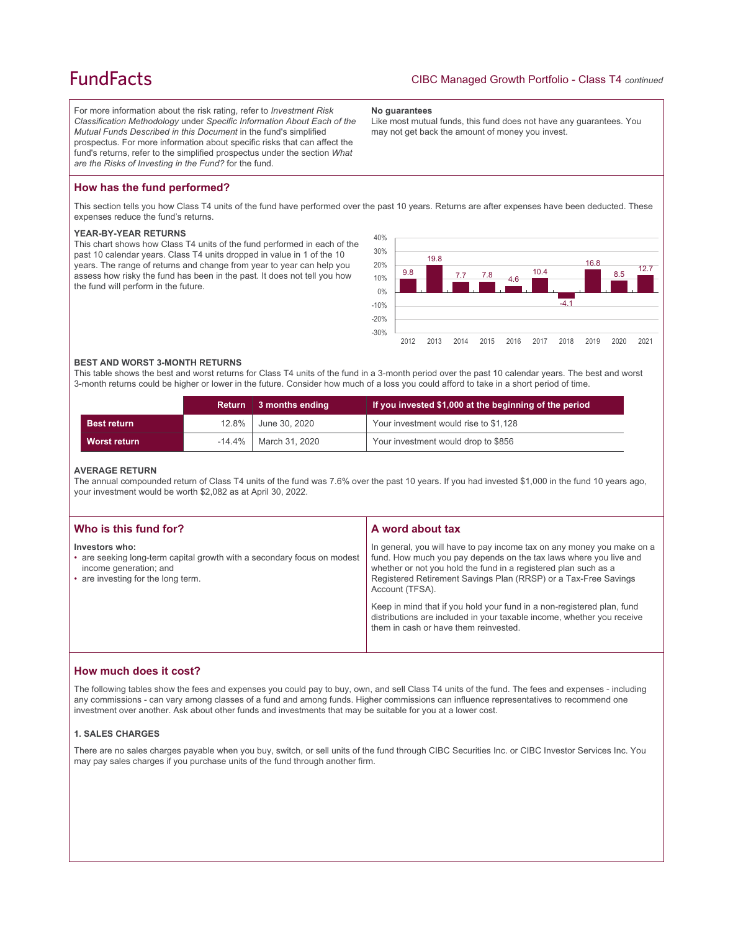# **FundFacts**

For more information about the risk rating, refer to *Investment Risk Classification Methodology* under *Specific Information About Each of the Mutual Funds Described in this Document* in the fund's simplified prospectus. For more information about specific risks that can affect the fund's returns, refer to the simplified prospectus under the section *What are the Risks of Investing in the Fund?* for the fund.

#### **No guarantees**

Like most mutual funds, this fund does not have any guarantees. You may not get back the amount of money you invest.

# **How has the fund performed?**

This section tells you how Class T4 units of the fund have performed over the past 10 years. Returns are after expenses have been deducted. These expenses reduce the fund's returns.

#### **YEAR-BY-YEAR RETURNS**

This chart shows how Class T4 units of the fund performed in each of the past 10 calendar years. Class T4 units dropped in value in 1 of the 10 years. The range of returns and change from year to year can help you assess how risky the fund has been in the past. It does not tell you how the fund will perform in the future.



#### **BEST AND WORST 3-MONTH RETURNS**

This table shows the best and worst returns for Class T4 units of the fund in a 3-month period over the past 10 calendar years. The best and worst 3-month returns could be higher or lower in the future. Consider how much of a loss you could afford to take in a short period of time.

|                     | <b>Return</b> | 3 months ending            | If you invested \$1,000 at the beginning of the period |
|---------------------|---------------|----------------------------|--------------------------------------------------------|
| <b>Best return</b>  | $12.8\%$      | June 30, 2020              | Your investment would rise to \$1,128                  |
| <b>Worst return</b> |               | $-14.4\%$   March 31, 2020 | Your investment would drop to \$856                    |

#### **AVERAGE RETURN**

The annual compounded return of Class T4 units of the fund was 7.6% over the past 10 years. If you had invested \$1,000 in the fund 10 years ago, your investment would be worth \$2,082 as at April 30, 2022.

| Who is this fund for?                                                                                                                                     | A word about tax                                                                                                                                                                                                                                                                                     |
|-----------------------------------------------------------------------------------------------------------------------------------------------------------|------------------------------------------------------------------------------------------------------------------------------------------------------------------------------------------------------------------------------------------------------------------------------------------------------|
| Investors who:<br>• are seeking long-term capital growth with a secondary focus on modest<br>income generation; and<br>• are investing for the long term. | In general, you will have to pay income tax on any money you make on a<br>fund. How much you pay depends on the tax laws where you live and<br>whether or not you hold the fund in a registered plan such as a<br>Registered Retirement Savings Plan (RRSP) or a Tax-Free Savings<br>Account (TFSA). |
|                                                                                                                                                           | Keep in mind that if you hold your fund in a non-registered plan, fund<br>distributions are included in your taxable income, whether you receive<br>them in cash or have them reinvested.                                                                                                            |

## **How much does it cost?**

The following tables show the fees and expenses you could pay to buy, own, and sell Class T4 units of the fund. The fees and expenses - including any commissions - can vary among classes of a fund and among funds. Higher commissions can influence representatives to recommend one investment over another. Ask about other funds and investments that may be suitable for you at a lower cost.

### **1. SALES CHARGES**

There are no sales charges payable when you buy, switch, or sell units of the fund through CIBC Securities Inc. or CIBC Investor Services Inc. You may pay sales charges if you purchase units of the fund through another firm.